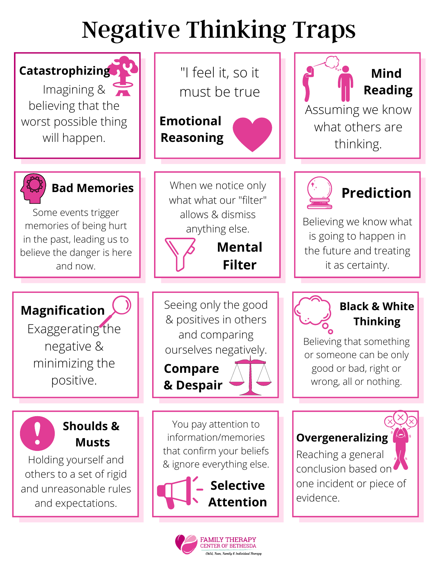## Negative Thinking Traps



**FAMILY THERAPY TER OF BETHESDA** Child, Teen, Family & Individual Therapy